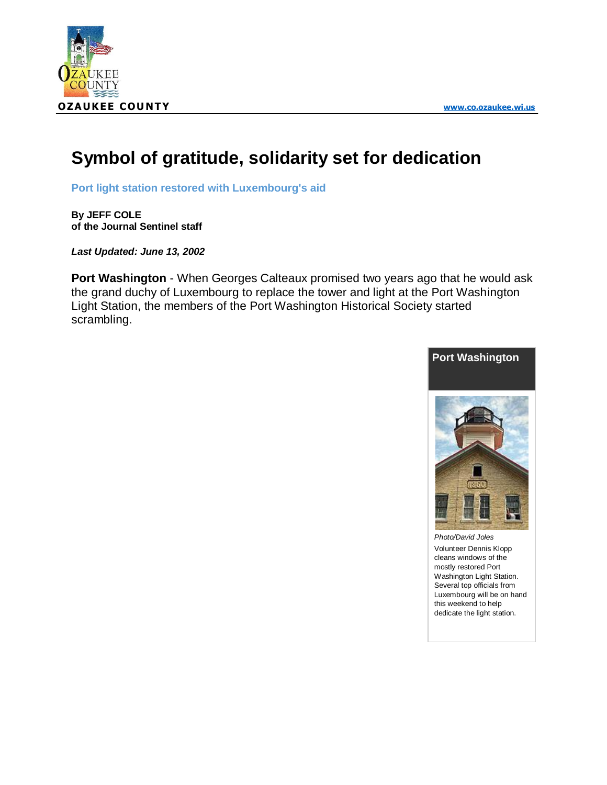

## **Symbol of gratitude, solidarity set for dedication**

**Port light station restored with Luxembourg's aid**

**By JEFF COLE of the Journal Sentinel staff**

*Last Updated: June 13, 2002*

**Port Washington** - When Georges Calteaux promised two years ago that he would ask the grand duchy of Luxembourg to replace the tower and light at the Port Washington Light Station, the members of the Port Washington Historical Society started scrambling.



*Photo/David Joles* Volunteer Dennis Klopp cleans windows of the mostly restored Port Washington Light Station. Several top officials from Luxembourg will be on hand this weekend to help dedicate the light station.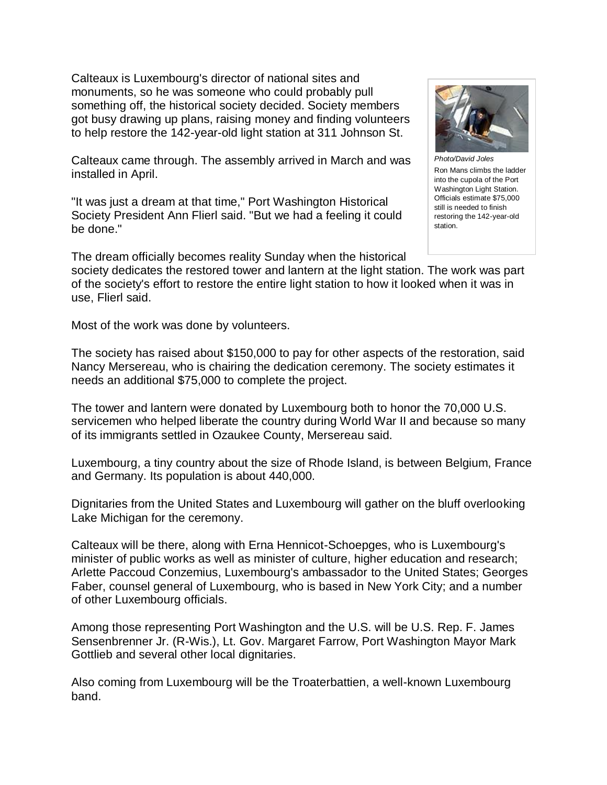Calteaux is Luxembourg's director of national sites and monuments, so he was someone who could probably pull something off, the historical society decided. Society members got busy drawing up plans, raising money and finding volunteers to help restore the 142-year-old light station at 311 Johnson St.

Calteaux came through. The assembly arrived in March and was installed in April.

"It was just a dream at that time," Port Washington Historical Society President Ann Flierl said. "But we had a feeling it could be done."



Ron Mans climbs the ladder into the cupola of the Port Washington Light Station. Officials estimate \$75,000 still is needed to finish restoring the 142-year-old station.

The dream officially becomes reality Sunday when the historical society dedicates the restored tower and lantern at the light station. The work was part of the society's effort to restore the entire light station to how it looked when it was in use, Flierl said.

Most of the work was done by volunteers.

The society has raised about \$150,000 to pay for other aspects of the restoration, said Nancy Mersereau, who is chairing the dedication ceremony. The society estimates it needs an additional \$75,000 to complete the project.

The tower and lantern were donated by Luxembourg both to honor the 70,000 U.S. servicemen who helped liberate the country during World War II and because so many of its immigrants settled in Ozaukee County, Mersereau said.

Luxembourg, a tiny country about the size of Rhode Island, is between Belgium, France and Germany. Its population is about 440,000.

Dignitaries from the United States and Luxembourg will gather on the bluff overlooking Lake Michigan for the ceremony.

Calteaux will be there, along with Erna Hennicot-Schoepges, who is Luxembourg's minister of public works as well as minister of culture, higher education and research; Arlette Paccoud Conzemius, Luxembourg's ambassador to the United States; Georges Faber, counsel general of Luxembourg, who is based in New York City; and a number of other Luxembourg officials.

Among those representing Port Washington and the U.S. will be U.S. Rep. F. James Sensenbrenner Jr. (R-Wis.), Lt. Gov. Margaret Farrow, Port Washington Mayor Mark Gottlieb and several other local dignitaries.

Also coming from Luxembourg will be the Troaterbattien, a well-known Luxembourg band.